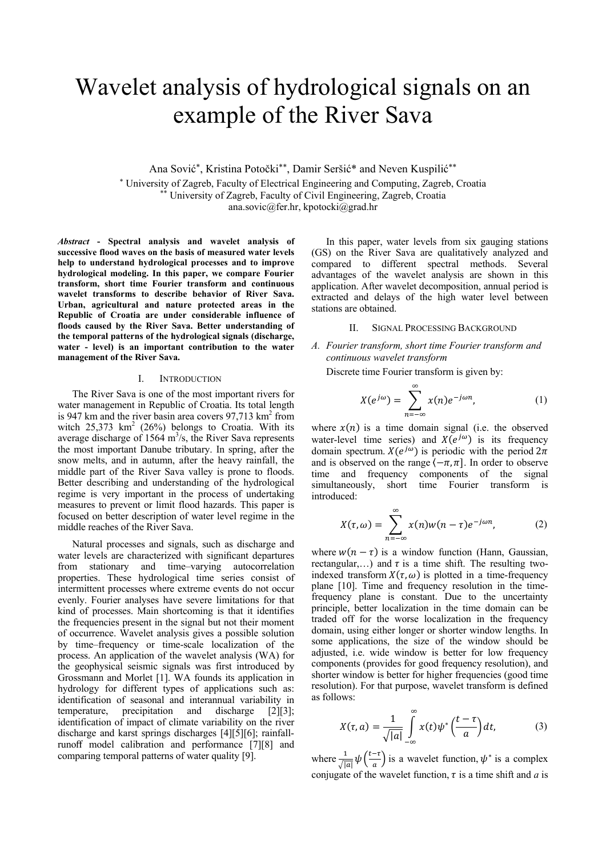# Wavelet analysis of hydrological signals on an example of the River Sava

Ana Sović\*, Kristina Potočki\*\*, Damir Seršić\* and Neven Kuspilić\*\* \* University of Zagreb, Faculty of Electrical Engineering and Computing, Zagreb, Croatia \*\* University of Zagreb, Faculty of Civil Engineering, Zagreb, Croatia ana.sovic@fer.hr, kpotocki@grad.hr

*Abstract* **- Spectral analysis and wavelet analysis of successive flood waves on the basis of measured water levels help to understand hydrological processes and to improve hydrological modeling. In this paper, we compare Fourier transform, short time Fourier transform and continuous wavelet transforms to describe behavior of River Sava. Urban, agricultural and nature protected areas in the Republic of Croatia are under considerable influence of floods caused by the River Sava. Better understanding of the temporal patterns of the hydrological signals (discharge, water - level) is an important contribution to the water management of the River Sava.** 

#### I. INTRODUCTION

The River Sava is one of the most important rivers for water management in Republic of Croatia. Its total length is 947 km and the river basin area covers  $97,713$  km<sup>2</sup> from witch  $25,373 \text{ km}^2$  (26%) belongs to Croatia. With its average discharge of  $1564 \text{ m}^3\text{/s}$ , the River Sava represents the most important Danube tributary. In spring, after the snow melts, and in autumn, after the heavy rainfall, the middle part of the River Sava valley is prone to floods. Better describing and understanding of the hydrological regime is very important in the process of undertaking measures to prevent or limit flood hazards. This paper is focused on better description of water level regime in the middle reaches of the River Sava.

Natural processes and signals, such as discharge and water levels are characterized with significant departures from stationary and time–varying autocorrelation properties. These hydrological time series consist of intermittent processes where extreme events do not occur evenly. Fourier analyses have severe limitations for that kind of processes. Main shortcoming is that it identifies the frequencies present in the signal but not their moment of occurrence. Wavelet analysis gives a possible solution by time–frequency or time-scale localization of the process. An application of the wavelet analysis (WA) for the geophysical seismic signals was first introduced by Grossmann and Morlet [1]. WA founds its application in hydrology for different types of applications such as: identification of seasonal and interannual variability in temperature, precipitation and discharge [2][3]; identification of impact of climate variability on the river discharge and karst springs discharges [4][5][6]; rainfallrunoff model calibration and performance [7][8] and comparing temporal patterns of water quality [9].

In this paper, water levels from six gauging stations (GS) on the River Sava are qualitatively analyzed and compared to different spectral methods. Several advantages of the wavelet analysis are shown in this application. After wavelet decomposition, annual period is extracted and delays of the high water level between stations are obtained.

### II. SIGNAL PROCESSING BACKGROUND

# *A. Fourier transform, short time Fourier transform and continuous wavelet transform*

Discrete time Fourier transform is given by:

$$
X(e^{j\omega}) = \sum_{n=-\infty}^{\infty} x(n)e^{-j\omega n},
$$
 (1)

where  $x(n)$  is a time domain signal (i.e. the observed water-level time series) and  $X(e^{j\omega})$  is its frequency domain spectrum.  $X(e^{j\omega})$  is periodic with the period  $2\pi$ and is observed on the range  $\langle -\pi, \pi \rangle$ . In order to observe time and frequency components of the signal simultaneously, short time Fourier transform is introduced:

$$
X(\tau,\omega) = \sum_{n=-\infty}^{\infty} x(n)w(n-\tau)e^{-j\omega n},
$$
 (2)

where  $w(n - \tau)$  is a window function (Hann, Gaussian, rectangular,...) and  $\tau$  is a time shift. The resulting twoindexed transform  $X(\tau, \omega)$  is plotted in a time-frequency plane [10]. Time and frequency resolution in the timefrequency plane is constant. Due to the uncertainty principle, better localization in the time domain can be traded off for the worse localization in the frequency domain, using either longer or shorter window lengths. In some applications, the size of the window should be adjusted, i.e. wide window is better for low frequency components (provides for good frequency resolution), and shorter window is better for higher frequencies (good time resolution). For that purpose, wavelet transform is defined as follows:

$$
X(\tau, a) = \frac{1}{\sqrt{|a|}} \int_{-\infty}^{\infty} x(t) \psi^* \left(\frac{t - \tau}{a}\right) dt, \tag{3}
$$

where  $\frac{1}{\sqrt{|a|}} \psi\left(\frac{t-\tau}{a}\right)$  is a wavelet function,  $\psi^*$  is a complex conjugate of the wavelet function,  $\tau$  is a time shift and *a* is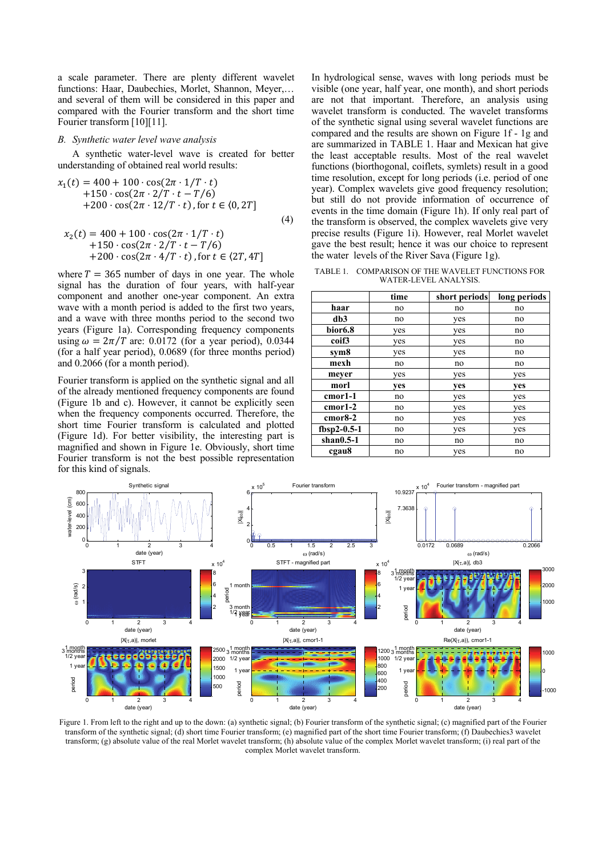a scale parameter. There are plenty different wavelet functions: Haar, Daubechies, Morlet, Shannon, Meyer,… and several of them will be considered in this paper and compared with the Fourier transform and the short time Fourier transform [10][11].

#### *B. Synthetic water level wave analysis*

A synthetic water-level wave is created for better understanding of obtained real world results:

$$
x_1(t) = 400 + 100 \cdot \cos(2\pi \cdot 1/T \cdot t) + 150 \cdot \cos(2\pi \cdot 2/T \cdot t - T/6) + 200 \cdot \cos(2\pi \cdot 12/T \cdot t), \text{ for } t \in (0, 2T]
$$
\n(4)

$$
x_2(t) = 400 + 100 \cdot \cos(2\pi \cdot 1/T \cdot t) + 150 \cdot \cos(2\pi \cdot 2/T \cdot t - T/6) + 200 \cdot \cos(2\pi \cdot 4/T \cdot t), \text{ for } t \in (2T, 4T]
$$

where  $T = 365$  number of days in one year. The whole signal has the duration of four years, with half-year component and another one-year component. An extra wave with a month period is added to the first two years, and a wave with three months period to the second two years (Figure 1a). Corresponding frequency components using  $\omega = 2\pi/T$  are: 0.0172 (for a year period), 0.0344 (for a half year period), 0.0689 (for three months period) and 0.2066 (for a month period).

Fourier transform is applied on the synthetic signal and all of the already mentioned frequency components are found (Figure 1b and c). However, it cannot be explicitly seen when the frequency components occurred. Therefore, the short time Fourier transform is calculated and plotted (Figure 1d). For better visibility, the interesting part is magnified and shown in Figure 1e. Obviously, short time Fourier transform is not the best possible representation for this kind of signals.

In hydrological sense, waves with long periods must be visible (one year, half year, one month), and short periods are not that important. Therefore, an analysis using wavelet transform is conducted. The wavelet transforms of the synthetic signal using several wavelet functions are compared and the results are shown on Figure 1f - 1g and are summarized in TABLE 1. Haar and Mexican hat give the least acceptable results. Most of the real wavelet functions (biorthogonal, coiflets, symlets) result in a good time resolution, except for long periods (i.e. period of one year). Complex wavelets give good frequency resolution; but still do not provide information of occurrence of events in the time domain (Figure 1h). If only real part of the transform is observed, the complex wavelets give very precise results (Figure 1i). However, real Morlet wavelet gave the best result; hence it was our choice to represent the water levels of the River Sava (Figure 1g).

TABLE 1. COMPARISON OF THE WAVELET FUNCTIONS FOR WATER-LEVEL ANALYSIS.

|                     | time | short periods | long periods |
|---------------------|------|---------------|--------------|
| haar                | no   | no            | no           |
| db3                 | no   | yes           | no           |
| bior <sub>6.8</sub> | yes  | yes           | no           |
| coif3               | yes  | yes           | no           |
| sym8                | yes  | yes           | no           |
| mexh                | no   | no            | no           |
| meyer               | yes  | yes           | yes          |
| morl                | yes  | yes           | yes          |
| $cmor1-1$           | no   | yes           | yes          |
| $cmor1-2$           | no   | yes           | yes          |
| $cmor 8-2$          | no   | yes           | yes          |
| fbsp2-0.5-1         | no   | yes           | yes          |
| $shan0.5-1$         | no   | no            | no           |
| cgau8               | no   | yes           | no           |



Figure 1. From left to the right and up to the down: (a) synthetic signal; (b) Fourier transform of the synthetic signal; (c) magnified part of the Fourier transform of the synthetic signal; (d) short time Fourier transform; (e) magnified part of the short time Fourier transform; (f) Daubechies3 wavelet transform; (g) absolute value of the real Morlet wavelet transform; (h) absolute value of the complex Morlet wavelet transform; (i) real part of the complex Morlet wavelet transform.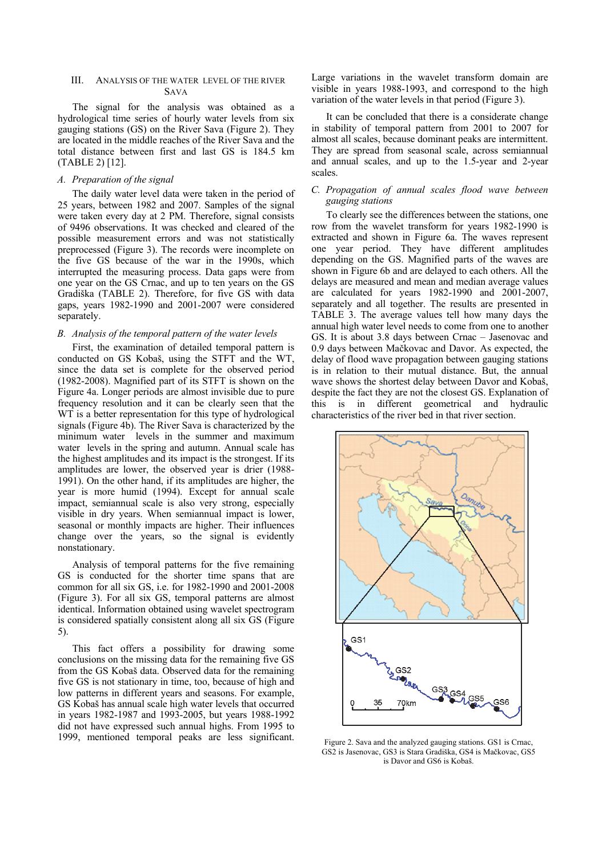#### III. ANALYSIS OF THE WATER LEVEL OF THE RIVER SAVA

The signal for the analysis was obtained as a hydrological time series of hourly water levels from six gauging stations (GS) on the River Sava (Figure 2). They are located in the middle reaches of the River Sava and the total distance between first and last GS is 184.5 km (TABLE 2) [12].

## *A. Preparation of the signal*

The daily water level data were taken in the period of 25 years, between 1982 and 2007. Samples of the signal were taken every day at 2 PM. Therefore, signal consists of 9496 observations. It was checked and cleared of the possible measurement errors and was not statistically preprocessed (Figure 3). The records were incomplete on the five GS because of the war in the 1990s, which interrupted the measuring process. Data gaps were from one year on the GS Crnac, and up to ten years on the GS Gradiška (TABLE 2). Therefore, for five GS with data gaps, years 1982-1990 and 2001-2007 were considered separately.

#### *B. Analysis of the temporal pattern of the water levels*

First, the examination of detailed temporal pattern is conducted on GS Kobaš, using the STFT and the WT, since the data set is complete for the observed period (1982-2008). Magnified part of its STFT is shown on the Figure 4a. Longer periods are almost invisible due to pure frequency resolution and it can be clearly seen that the WT is a better representation for this type of hydrological signals (Figure 4b). The River Sava is characterized by the minimum water levels in the summer and maximum water levels in the spring and autumn. Annual scale has the highest amplitudes and its impact is the strongest. If its amplitudes are lower, the observed year is drier (1988- 1991). On the other hand, if its amplitudes are higher, the year is more humid (1994). Except for annual scale impact, semiannual scale is also very strong, especially visible in dry years. When semiannual impact is lower, seasonal or monthly impacts are higher. Their influences change over the years, so the signal is evidently nonstationary.

Analysis of temporal patterns for the five remaining GS is conducted for the shorter time spans that are common for all six GS, i.e. for 1982-1990 and 2001-2008 (Figure 3). For all six GS, temporal patterns are almost identical. Information obtained using wavelet spectrogram is considered spatially consistent along all six GS (Figure 5).

This fact offers a possibility for drawing some conclusions on the missing data for the remaining five GS from the GS Kobaš data. Observed data for the remaining five GS is not stationary in time, too, because of high and low patterns in different years and seasons. For example, GS Kobaš has annual scale high water levels that occurred in years 1982-1987 and 1993-2005, but years 1988-1992 did not have expressed such annual highs. From 1995 to 1999, mentioned temporal peaks are less significant. Large variations in the wavelet transform domain are visible in years 1988-1993, and correspond to the high variation of the water levels in that period (Figure 3).

It can be concluded that there is a considerate change in stability of temporal pattern from 2001 to 2007 for almost all scales, because dominant peaks are intermittent. They are spread from seasonal scale, across semiannual and annual scales, and up to the 1.5-year and 2-year scales.

# *C. Propagation of annual scales flood wave between gauging stations*

To clearly see the differences between the stations, one row from the wavelet transform for years 1982-1990 is extracted and shown in Figure 6a. The waves represent one year period. They have different amplitudes depending on the GS. Magnified parts of the waves are shown in Figure 6b and are delayed to each others. All the delays are measured and mean and median average values are calculated for years 1982-1990 and 2001-2007, separately and all together. The results are presented in TABLE 3. The average values tell how many days the annual high water level needs to come from one to another GS. It is about 3.8 days between Crnac – Jasenovac and 0.9 days between Mačkovac and Davor. As expected, the delay of flood wave propagation between gauging stations is in relation to their mutual distance. But, the annual wave shows the shortest delay between Davor and Kobaš, despite the fact they are not the closest GS. Explanation of this is in different geometrical and hydraulic characteristics of the river bed in that river section.



Figure 2. Sava and the analyzed gauging stations. GS1 is Crnac, GS2 is Jasenovac, GS3 is Stara Gradiška, GS4 is Mačkovac, GS5 is Davor and GS6 is Kobaš.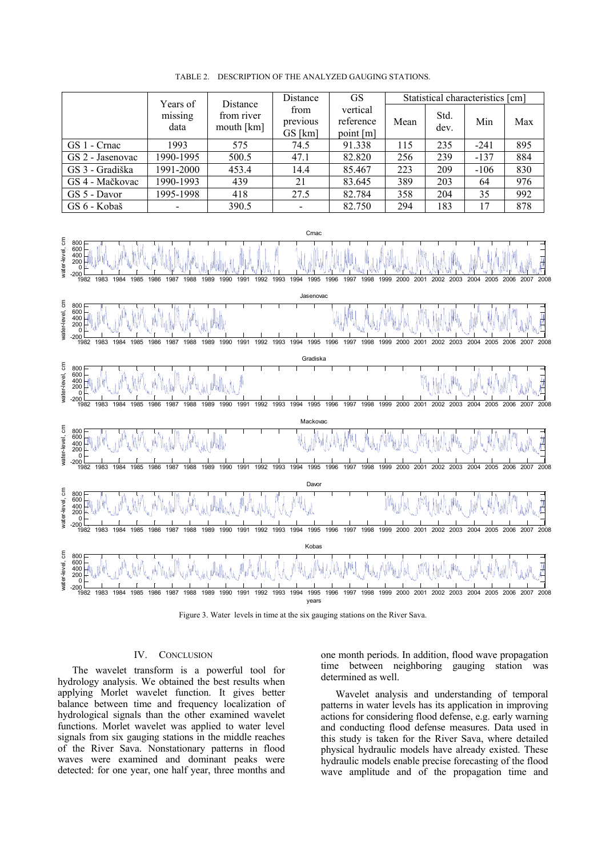

TABLE 2. DESCRIPTION OF THE ANALYZED GAUGING STATIONS.



## IV. CONCLUSION

The wavelet transform is a powerful tool for hydrology analysis. We obtained the best results when applying Morlet wavelet function. It gives better balance between time and frequency localization of hydrological signals than the other examined wavelet functions. Morlet wavelet was applied to water level signals from six gauging stations in the middle reaches of the River Sava. Nonstationary patterns in flood waves were examined and dominant peaks were detected: for one year, one half year, three months and

one month periods. In addition, flood wave propagation time between neighboring gauging station was determined as well.

Wavelet analysis and understanding of temporal patterns in water levels has its application in improving actions for considering flood defense, e.g. early warning and conducting flood defense measures. Data used in this study is taken for the River Sava, where detailed physical hydraulic models have already existed. These hydraulic models enable precise forecasting of the flood wave amplitude and of the propagation time and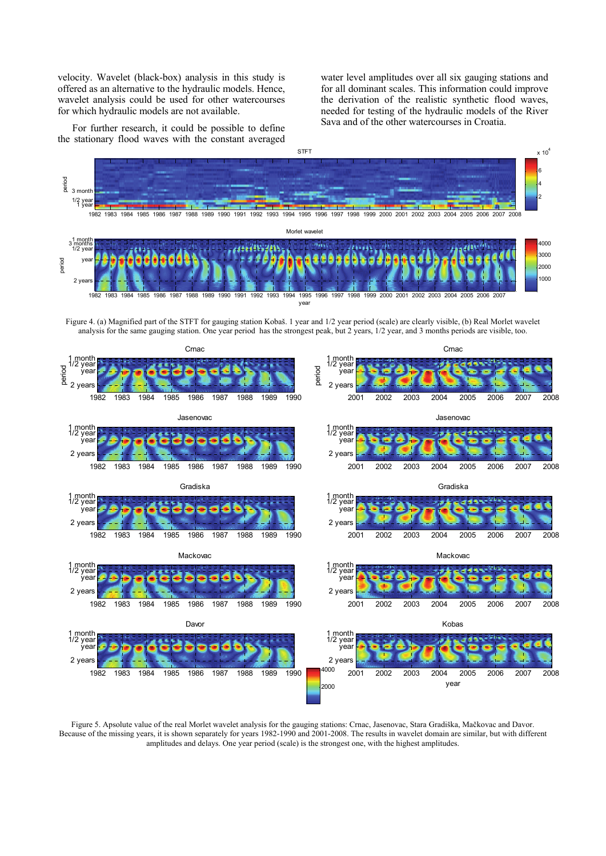velocity. Wavelet (black-box) analysis in this study is offered as an alternative to the hydraulic models. Hence, wavelet analysis could be used for other watercourses for which hydraulic models are not available.

For further research, it could be possible to define the stationary flood waves with the constant averaged

water level amplitudes over all six gauging stations and for all dominant scales. This information could improve the derivation of the realistic synthetic flood waves, needed for testing of the hydraulic models of the River Sava and of the other watercourses in Croatia.



Figure 4. (a) Magnified part of the STFT for gauging station Kobaš. 1 year and 1/2 year period (scale) are clearly visible, (b) Real Morlet wavelet analysis for the same gauging station. One year period has the strongest peak, but 2 years, 1/2 year, and 3 months periods are visible, too.



Figure 5. Apsolute value of the real Morlet wavelet analysis for the gauging stations: Crnac, Jasenovac, Stara Gradiška, Mačkovac and Davor. Because of the missing years, it is shown separately for years 1982-1990 and 2001-2008. The results in wavelet domain are similar, but with different amplitudes and delays. One year period (scale) is the strongest one, with the highest amplitudes.